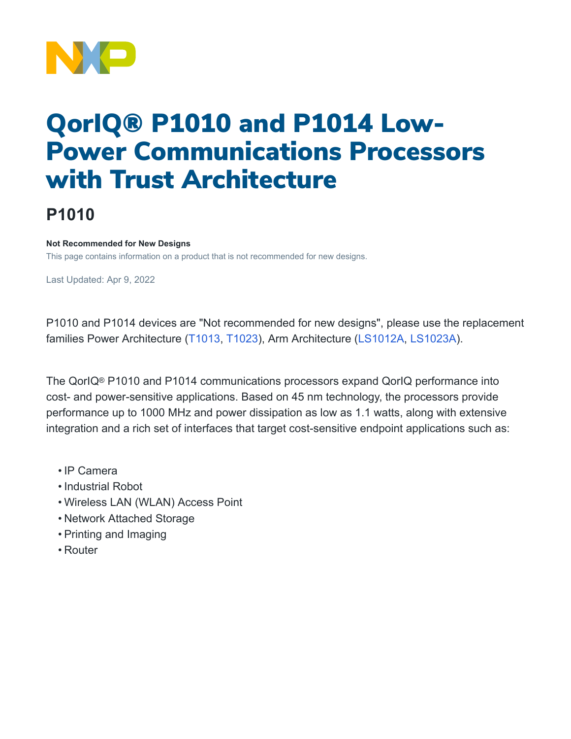

# QorIQ® P1010 and P1014 Low-Power Communications Processors with Trust Architecture

## **P1010**

#### **Not Recommended for New Designs**

This page contains information on a product that is not recommended for new designs.

Last Updated: Apr 9, 2022

P1010 and P1014 devices are "Not recommended for new designs", please use the replacement families Power Architecture [\(T1013](https://www.nxp.com/products/processors-and-microcontrollers/power-architecture/qoriq-communication-processors/t-series/qoriq-t1024-14-and-t1023-13-dual-and-single-core-communications-processors:T1024), [T1023\)](https://www.nxp.com/products/processors-and-microcontrollers/power-architecture/qoriq-communication-processors/t-series/qoriq-t1024-14-and-t1023-13-dual-and-single-core-communications-processors:T1024), Arm Architecture [\(LS1012A](https://www.nxp.com/products/processors-and-microcontrollers/arm-processors/layerscape-processors/layerscape-1012a-low-power-processor:LS1012A), [LS1023A](https://www.nxp.com/products/processors-and-microcontrollers/arm-processors/layerscape-processors/layerscape-1043a-and-1023a-processors:LS1043A)).

The QorIQ® P1010 and P1014 communications processors expand QorIQ performance into cost- and power-sensitive applications. Based on 45 nm technology, the processors provide performance up to 1000 MHz and power dissipation as low as 1.1 watts, along with extensive integration and a rich set of interfaces that target cost-sensitive endpoint applications such as:

- IP Camera
- Industrial Robot
- Wireless LAN (WLAN) Access Point
- Network Attached Storage
- Printing and Imaging
- Router